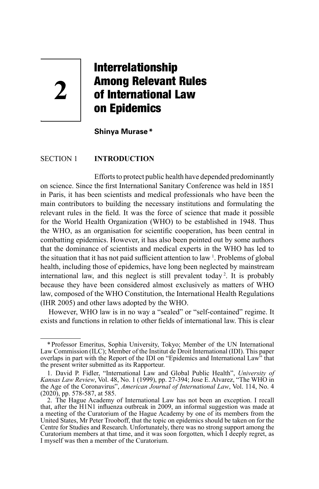# Interrelationship Among Relevant Rules of International Law on Epidemics

**Shinya Murase\***

### SECTION 1 **INTRODUCTION**

Efforts to protect public health have depended predominantly on science. Since the first International Sanitary Conference was held in 1851 in Paris, it has been scientists and medical professionals who have been the main contributors to building the necessary institutions and formulating the relevant rules in the field. It was the force of science that made it possible for the World Health Organization (WHO) to be established in 1948. Thus the WHO, as an organisation for scientific cooperation, has been central in combatting epidemics. However, it has also been pointed out by some authors that the dominance of scientists and medical experts in the WHO has led to the situation that it has not paid sufficient attention to law <sup>1</sup>. Problems of global health, including those of epidemics, have long been neglected by mainstream international law, and this neglect is still prevalent today <sup>2</sup> . It is probably because they have been considered almost exclusively as matters of WHO law, composed of the WHO Constitution, the International Health Regulations (IHR 2005) and other laws adopted by the WHO.

However, WHO law is in no way a "sealed" or "self-contained" regime. It exists and functions in relation to other fields of international law. This is clear

**2**

<sup>\*</sup>Professor Emeritus, Sophia University, Tokyo; Member of the UN International Law Commission (ILC); Member of the Institut de Droit International (IDI). This paper overlaps in part with the Report of the IDI on "Epidemics and International Law" that the present writer submitted as its Rapporteur.

<sup>1.</sup> David P. Fidler, "International Law and Global Public Health", *University of Kansas Law Review*, Vol. 48, No. 1 (1999), pp. 27-394; Jose E. Alvarez, "The WHO in the Age of the Coronavirus", *American Journal of International Law*, Vol. 114, No. 4 (2020), pp. 578-587, at 585.

<sup>2.</sup> The Hague Academy of International Law has not been an exception. I recall that, after the H1N1 influenza outbreak in 2009, an informal suggestion was made at a meeting of the Curatorium of the Hague Academy by one of its members from the United States, Mr Peter Trooboff, that the topic on epidemics should be taken on for the Centre for Studies and Research. Unfortunately, there was no strong support among the Curatorium members at that time, and it was soon forgotten, which I deeply regret, as I myself was then a member of the Curatorium.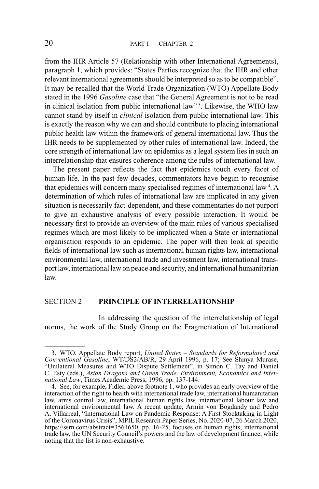from the IHR Article 57 (Relationship with other International Agreements), paragraph 1, which provides: "States Parties recognize that the IHR and other relevant international agreements should be interpreted so as to be compatible". It may be recalled that the World Trade Organization (WTO) Appellate Body stated in the 1996 *Gasoline* case that "the General Agreement is not to be read in clinical isolation from public international law" <sup>3</sup> . Likewise, the WHO law cannot stand by itself in *clinical* isolation from public international law. This is exactly the reason why we can and should contribute to placing international public health law within the framework of general international law. Thus the IHR needs to be supplemented by other rules of international law. Indeed, the core strength of international law on epidemics as a legal system lies in such an interrelationship that ensures coherence among the rules of international law.

The present paper reflects the fact that epidemics touch every facet of human life. In the past few decades, commentators have begun to recognise that epidemics will concern many specialised regimes of international law<sup>4</sup>. A determination of which rules of international law are implicated in any given situation is necessarily fact-dependent, and these commentaries do not purport to give an exhaustive analysis of every possible interaction. It would be necessary first to provide an overview of the main rules of various specialised regimes which are most likely to be implicated when a State or international organisation responds to an epidemic. The paper will then look at specific fields of international law such as international human rights law, international environmental law, international trade and investment law, international transport law, international law on peace and security, and international humanitarian law.

## SECTION 2 **PRINCIPLE OF INTERRELATIONSHIP**

In addressing the question of the interrelationship of legal norms, the work of the Study Group on the Fragmentation of International

<sup>3.</sup> WTO, Appellate Body report, *United States – Standards for Reformulated and Conventional Gasoline*, WT/DS2/AB/R, 29 April 1996, p. 17; See Shinya Murase, "Unilateral Measures and WTO Dispute Settlement", in Simon C. Tay and Daniel C. Esty (eds.), *Asian Dragons and Green Trade, Environment, Economics and International Law*, Times Academic Press, 1996, pp. 137-144.

<sup>4.</sup> See, for example, Fidler, above footnote 1, who provides an early overview of the interaction of the right to health with international trade law, international humanitarian law, arms control law, international human rights law, international labour law and international environmental law. A recent update, Armin von Bogdandy and Pedro A. Villarreal, "International Law on Pandemic Response: A First Stocktaking in Light of the Coronavirus Crisis", MPIL Research Paper Series, No. 2020-07, 26 March 2020, https://ssrn.com/abstract=3561650, pp. 16-25, focuses on human rights, international trade law, the UN Security Council's powers and the law of development finance, while noting that the list is non-exhaustive.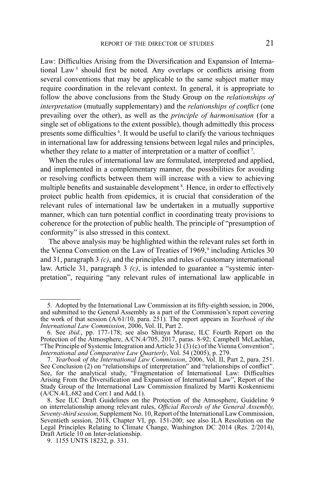Law: Difficulties Arising from the Diversification and Expansion of International Law<sup>5</sup> should first be noted. Any overlaps or conflicts arising from several conventions that may be applicable to the same subject matter may require coordination in the relevant context. In general, it is appropriate to follow the above conclusions from the Study Group on the *relationships of interpretation* (mutually supplementary) and the *relationships of conflict* (one prevailing over the other), as well as the *principle of harmonisation* (for a single set of obligations to the extent possible), though admittedly this process presents some difficulties <sup>6</sup>. It would be useful to clarify the various techniques in international law for addressing tensions between legal rules and principles, whether they relate to a matter of interpretation or a matter of conflict<sup>7</sup>.

When the rules of international law are formulated, interpreted and applied, and implemented in a complementary manner, the possibilities for avoiding or resolving conflicts between them will increase with a view to achieving multiple benefits and sustainable development<sup>8</sup>. Hence, in order to effectively protect public health from epidemics, it is crucial that consideration of the relevant rules of international law be undertaken in a mutually supportive manner, which can turn potential conflict in coordinating treaty provisions to coherence for the protection of public health. The principle of "presumption of conformity" is also stressed in this context.

The above analysis may be highlighted within the relevant rules set forth in the Vienna Convention on the Law of Treaties of 1969,<sup>9</sup> including Articles 30 and 31, paragraph 3 *(c)*, and the principles and rules of customary international law. Article 31, paragraph 3 *(c)*, is intended to guarantee a "systemic interpretation", requiring "any relevant rules of international law applicable in

<sup>5.</sup> Adopted by the International Law Commission at its fifty-eighth session, in 2006, and submitted to the General Assembly as a part of the Commission's report covering the work of that session (A/61/10, para. 251). The report appears in *Yearbook of the International Law Commission*, 2006, Vol. II, Part 2.

<sup>6.</sup> See *ibid*., pp. 177-178; see also Shinya Murase, ILC Fourth Report on the Protection of the Atmosphere, A/CN.4/705, 2017, paras. 8-92; Campbell McLachlan, "The Principle of Systemic Integration and Article 31 (3) (c) of the Vienna Convention", *International and Comparative Law Quarterly*, Vol. 54 (2005), p. 279.

<sup>7.</sup> *Yearbook of the International Law Commission*, 2006, Vol. II, Part 2, para. 251. See Conclusion (2) on "relationships of interpretation" and "relationships of conflict". See, for the analytical study, "Fragmentation of International Law: Difficulties Arising From the Diversification and Expansion of International Law", Report of the Study Group of the International Law Commission finalized by Martti Koskenniemi  $(A/\text{CN}.4/L.\overline{682}$  and Corr.1 and Add.1).

<sup>8.</sup> See ILC Draft Guidelines on the Protection of the Atmosphere, Guideline 9 on interrelationship among relevant rules, *Official Records of the General Assembly, Seventy-third session*, Supplement No. 10, Report of the International Law Commission, Seventieth session, 2018, Chapter VI, pp. 151-200; see also ILA Resolution on the Legal Principles Relating to Climate Change, Washington DC 2014 (Res. 2/2014), Draft Article 10 on Inter-relationship.

<sup>9.</sup> 1155 UNTS 18232, p. 331.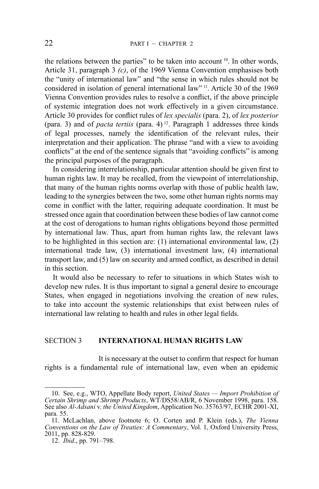the relations between the parties" to be taken into account  $10$ . In other words, Article 31, paragraph 3 *(c)*, of the 1969 Vienna Convention emphasises both the "unity of international law" and "the sense in which rules should not be considered in isolation of general international law" 11. Article 30 of the 1969 Vienna Convention provides rules to resolve a conflict, if the above principle of systemic integration does not work effectively in a given circumstance. Article 30 provides for conflict rules of *lex specialis* (para. 2), of *lex posterior* (para. 3) and of *pacta tertiis* (para. 4)<sup>12</sup>. Paragraph 1 addresses three kinds of legal processes, namely the identification of the relevant rules, their interpretation and their application. The phrase "and with a view to avoiding conflicts" at the end of the sentence signals that "avoiding conflicts" is among the principal purposes of the paragraph.

In considering interrelationship, particular attention should be given first to human rights law. It may be recalled, from the viewpoint of interrelationship, that many of the human rights norms overlap with those of public health law, leading to the synergies between the two, some other human rights norms may come in conflict with the latter, requiring adequate coordination. It must be stressed once again that coordination between these bodies of law cannot come at the cost of derogations to human rights obligations beyond those permitted by international law. Thus, apart from human rights law, the relevant laws to be highlighted in this section are: (1) international environmental law, (2) international trade law, (3) international investment law, (4) international transport law, and (5) law on security and armed conflict, as described in detail in this section.

It would also be necessary to refer to situations in which States wish to develop new rules. It is thus important to signal a general desire to encourage States, when engaged in negotiations involving the creation of new rules, to take into account the systemic relationships that exist between rules of international law relating to health and rules in other legal fields.

# SECTION 3 **INTERNATIONAL HUMAN RIGHTS LAW**

It is necessary at the outset to confirm that respect for human rights is a fundamental rule of international law, even when an epidemic

<sup>10.</sup> See, e.g., WTO, Appellate Body report, *United States — Import Prohibition of Certain Shrimp and Shrimp Products*, WT/DS58/AB/R, 6 November 1998, para. 158. See also *Al-Adsani* v. *the United Kingdom*, Application No. 35763/97, ECHR 2001-XI, para. 55.

<sup>11.</sup> McLachlan, above footnote 6; O. Corten and P. Klein (eds.), *The Vienna Conventions on the Law of Treaties: A Commentary*, Vol. 1, Oxford University Press, 2011, pp. 828-829.

<sup>12.</sup> *Ibid*., pp. 791–798.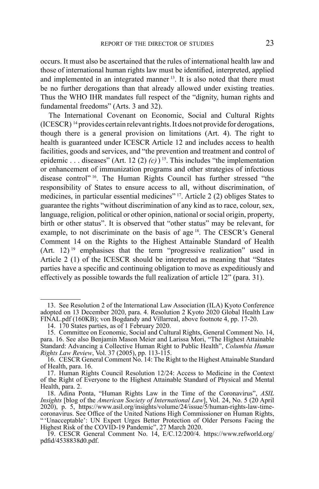occurs. It must also be ascertained that the rules of international health law and those of international human rights law must be identified, interpreted, applied and implemented in an integrated manner <sup>13</sup>. It is also noted that there must be no further derogations than that already allowed under existing treaties. Thus the WHO IHR mandates full respect of the "dignity, human rights and fundamental freedoms" (Arts. 3 and 32).

The International Covenant on Economic, Social and Cultural Rights (ICESCR) 14 provides certain relevant rights. It does not provide for derogations, though there is a general provision on limitations (Art. 4). The right to health is guaranteed under ICESCR Article 12 and includes access to health facilities, goods and services, and "the prevention and treatment and control of epidemic . . . diseases" (Art. 12 (2)  $(c)$ ) <sup>15</sup>. This includes "the implementation" or enhancement of immunization programs and other strategies of infectious disease control" 16. The Human Rights Council has further stressed "the responsibility of States to ensure access to all, without discrimination, of medicines, in particular essential medicines" 17. Article 2 (2) obliges States to guarantee the rights "without discrimination of any kind as to race, colour, sex, language, religion, political or other opinion, national or social origin, property, birth or other status". It is observed that "other status" may be relevant, for example, to not discriminate on the basis of age <sup>18</sup>. The CESCR's General Comment 14 on the Rights to the Highest Attainable Standard of Health  $(Art. 12)$ <sup>19</sup> emphasises that the term "progressive realization" used in Article 2 (1) of the ICESCR should be interpreted as meaning that "States parties have a specific and continuing obligation to move as expeditiously and effectively as possible towards the full realization of article 12" (para. 31).

<sup>13.</sup> See Resolution 2 of the International Law Association (ILA) Kyoto Conference adopted on 13 December 2020, para. 4. Resolution 2 Kyoto 2020 Global Health Law FINAL.pdf (160KB); von Bogdandy and Villarreal, above footnote 4, pp. 17-20.

<sup>14.</sup> 170 States parties, as of 1 February 2020.

<sup>15.</sup> Committee on Economic, Social and Cultural Rights, General Comment No. 14, para. 16. See also Benjamin Mason Meier and Larissa Mori, "The Highest Attainable Standard: Advancing a Collective Human Right to Public Health", *Columbia Human Rights Law Review*, Vol. 37 (2005), pp. 113-115.

<sup>16.</sup> CESCR General Comment No. 14: The Right to the Highest Attainable Standard of Health, para. 16.

<sup>17.</sup> Human Rights Council Resolution 12/24: Access to Medicine in the Context of the Right of Everyone to the Highest Attainable Standard of Physical and Mental Health, para. 2.

<sup>18.</sup> Adina Ponta, "Human Rights Law in the Time of the Coronavirus", *ASIL Insights* [blog of the *American Society of International Law*], Vol. 24, No. 5 (20 April 2020), p. 5, https://www.asil.org/insights/volume/24/issue/5/human-rights-law-timecoronavirus. See Office of the United Nations High Commissioner on Human Rights, " 'Unacceptable': UN Expert Urges Better Protection of Older Persons Facing the Highest Risk of the COVID-19 Pandemic", 27 March 2020.

<sup>19.</sup> CESCR General Comment No. 14, E/C.12/200/4. https://www.refworld.org/ pdfid/4538838d0.pdf.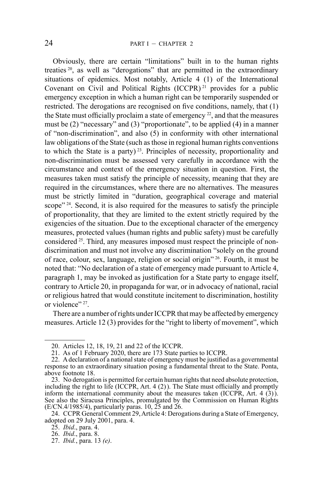Obviously, there are certain "limitations" built in to the human rights treaties 20, as well as "derogations" that are permitted in the extraordinary situations of epidemics. Most notably, Article 4 (1) of the International Covenant on Civil and Political Rights (ICCPR) 21 provides for a public emergency exception in which a human right can be temporarily suspended or restricted. The derogations are recognised on five conditions, namely, that (1) the State must officially proclaim a state of emergency  $^{22}$ , and that the measures must be (2) "necessary" and (3) "proportionate", to be applied (4) in a manner of "non-discrimination", and also (5) in conformity with other international law obligations of the State (such as those in regional human rights conventions to which the State is a party)<sup>23</sup>. Principles of necessity, proportionality and non-discrimination must be assessed very carefully in accordance with the circumstance and context of the emergency situation in question. First, the measures taken must satisfy the principle of necessity, meaning that they are required in the circumstances, where there are no alternatives. The measures must be strictly limited in "duration, geographical coverage and material scope" <sup>24</sup>. Second, it is also required for the measures to satisfy the principle of proportionality, that they are limited to the extent strictly required by the exigencies of the situation. Due to the exceptional character of the emergency measures, protected values (human rights and public safety) must be carefully considered 25. Third, any measures imposed must respect the principle of nondiscrimination and must not involve any discrimination "solely on the ground of race, colour, sex, language, religion or social origin" 26. Fourth, it must be noted that: "No declaration of a state of emergency made pursuant to Article 4, paragraph 1, may be invoked as justification for a State party to engage itself, contrary to Article 20, in propaganda for war, or in advocacy of national, racial or religious hatred that would constitute incitement to discrimination, hostility or violence"<sup>27</sup>.

There are a number of rights under ICCPR that may be affected by emergency measures. Article 12 (3) provides for the "right to liberty of movement", which

<sup>20.</sup> Articles 12, 18, 19, 21 and 22 of the ICCPR.

<sup>21.</sup> As of 1 February 2020, there are 173 State parties to ICCPR.

<sup>22.</sup> A declaration of a national state of emergency must be justified as a governmental response to an extraordinary situation posing a fundamental threat to the State. Ponta, above footnote 18.

<sup>23.</sup> No derogation is permitted for certain human rights that need absolute protection, including the right to life (ICCPR, Art. 4 (2)). The State must officially and promptly inform the international community about the measures taken  $(ICCPR, Art. 4 (3))$ . See also the Siracusa Principles, promulgated by the Commission on Human Rights  $(E/CN.4/1985/4)$ , particularly paras. 10, 25 and 26.

<sup>24.</sup> CCPR General Comment 29, Article 4: Derogations during a State of Emergency, adopted on 29 July 2001, para. 4.

<sup>25.</sup> *Ibid*., para. 4.

<sup>26.</sup> *Ibid*., para. 8.

<sup>27.</sup> *Ibid.*, para. 13 *(e)*.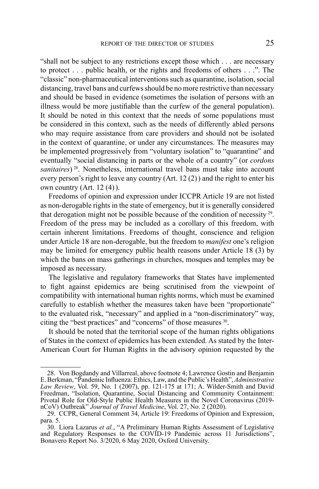"shall not be subject to any restrictions except those which . . . are necessary to protect . . . public health, or the rights and freedoms of others . . .". The "classic" non-pharmaceutical interventions such as quarantine, isolation, social distancing, travel bans and curfews should be no more restrictive than necessary and should be based in evidence (sometimes the isolation of persons with an illness would be more justifiable than the curfew of the general population). It should be noted in this context that the needs of some populations must be considered in this context, such as the needs of differently abled persons who may require assistance from care providers and should not be isolated in the context of quarantine, or under any circumstances. The measures may be implemented progressively from "voluntary isolation" to "quarantine" and eventually "social distancing in parts or the whole of a country" (or *cordons sanitaires*)<sup>28</sup>. Nonetheless, international travel bans must take into account every person's right to leave any country (Art. 12 (2)) and the right to enter his own country (Art. 12 (4)).

Freedoms of opinion and expression under ICCPR Article 19 are not listed as non-derogable rights in the state of emergency, but it is generally considered that derogation might not be possible because of the condition of necessity  $29$ . Freedom of the press may be included as a corollary of this freedom, with certain inherent limitations. Freedoms of thought, conscience and religion under Article 18 are non-derogable, but the freedom to *manifest* one's religion may be limited for emergency public health reasons under Article 18 (3) by which the bans on mass gatherings in churches, mosques and temples may be imposed as necessary.

The legislative and regulatory frameworks that States have implemented to fight against epidemics are being scrutinised from the viewpoint of compatibility with international human rights norms, which must be examined carefully to establish whether the measures taken have been "proportionate" to the evaluated risk, "necessary" and applied in a "non-discriminatory" way, citing the "best practices" and "concerns" of those measures 30.

It should be noted that the territorial scope of the human rights obligations of States in the context of epidemics has been extended. As stated by the Inter-American Court for Human Rights in the advisory opinion requested by the

<sup>28.</sup> Von Bogdandy and Villarreal, above footnote 4; Lawrence Gostin and Benjamin E. Berkman, "Pandemic Influenza: Ethics, Law, and the Public's Health", *Administrative Law Review*, Vol. 59, No. 1 (2007), pp. 121-175 at 171; A. Wilder-Smith and David Freedman, "Isolation, Quarantine, Social Distancing and Community Containment: Pivotal Role for Old-Style Public Health Measures in the Novel Coronavirus (2019 nCoV) Outbreak" *Journal of Travel Medicine*, Vol. 27, No. 2 (2020).

<sup>29.</sup> CCPR, General Comment 34, Article 19: Freedoms of Opinion and Expression, para. 5.

<sup>30.</sup> Liora Lazarus *et al.*, "A Preliminary Human Rights Assessment of Legislative and Regulatory Responses to the COVID-19 Pandemic across 11 Jurisdictions", Bonavero Report No. 3/2020, 6 May 2020, Oxford University.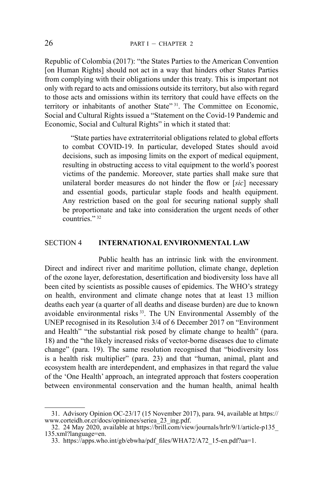Republic of Colombia (2017): "the States Parties to the American Convention [on Human Rights] should not act in a way that hinders other States Parties from complying with their obligations under this treaty. This is important not only with regard to acts and omissions outside its territory, but also with regard to those acts and omissions within its territory that could have effects on the territory or inhabitants of another State"<sup>31</sup>. The Committee on Economic, Social and Cultural Rights issued a "Statement on the Covid-19 Pandemic and Economic, Social and Cultural Rights" in which it stated that:

"State parties have extraterritorial obligations related to global efforts to combat COVID-19. In particular, developed States should avoid decisions, such as imposing limits on the export of medical equipment, resulting in obstructing access to vital equipment to the world's poorest victims of the pandemic. Moreover, state parties shall make sure that unilateral border measures do not hinder the flow or [*sic*] necessary and essential goods, particular staple foods and health equipment. Any restriction based on the goal for securing national supply shall be proportionate and take into consideration the urgent needs of other countries."<sup>32</sup>

#### SECTION 4 **INTERNATIONAL ENVIRONMENTAL LAW**

Public health has an intrinsic link with the environment. Direct and indirect river and maritime pollution, climate change, depletion of the ozone layer, deforestation, desertification and biodiversity loss have all been cited by scientists as possible causes of epidemics. The WHO's strategy on health, environment and climate change notes that at least 13 million deaths each year (a quarter of all deaths and disease burden) are due to known avoidable environmental risks 33. The UN Environmental Assembly of the UNEP recognised in its Resolution 3/4 of 6 December 2017 on "Environment and Health" "the substantial risk posed by climate change to health" (para. 18) and the "the likely increased risks of vector-borne diseases due to climate change" (para. 19). The same resolution recognised that "biodiversity loss is a health risk multiplier" (para. 23) and that "human, animal, plant and ecosystem health are interdependent, and emphasizes in that regard the value of the 'One Health' approach, an integrated approach that fosters cooperation between environmental conservation and the human health, animal health

<sup>31.</sup> Advisory Opinion OC-23/17 (15 November 2017), para. 94, available at https:// www.corteidh.or.cr/docs/opiniones/seriea\_23\_ing.pdf.

<sup>32.</sup> 24 May 2020, available at https://brill.com/view/journals/hrlr/9/1/article-p135\_ 135.xml?language=en.

<sup>33.</sup> https://apps.who.int/gb/ebwha/pdf\_files/WHA72/A72\_15-en.pdf?ua=1.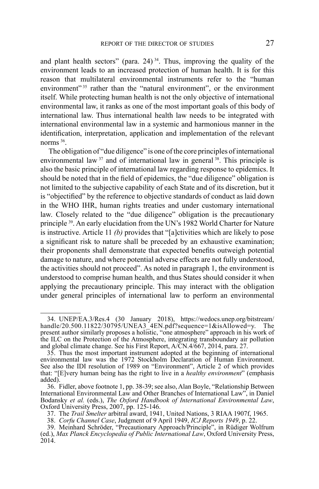and plant health sectors" (para. 24)<sup>34</sup>. Thus, improving the quality of the environment leads to an increased protection of human health. It is for this reason that multilateral environmental instruments refer to the "human environment"<sup>35</sup> rather than the "natural environment", or the environment itself. While protecting human health is not the only objective of international environmental law, it ranks as one of the most important goals of this body of international law. Thus international health law needs to be integrated with international environmental law in a systemic and harmonious manner in the identification, interpretation, application and implementation of the relevant norms 36.

The obligation of "due diligence" is one of the core principles of international environmental law  $37$  and of international law in general  $38$ . This principle is also the basic principle of international law regarding response to epidemics. It should be noted that in the field of epidemics, the "due diligence" obligation is not limited to the subjective capability of each State and of its discretion, but it is "objectified" by the reference to objective standards of conduct as laid down in the WHO IHR, human rights treaties and under customary international law. Closely related to the "due diligence" obligation is the precautionary principle 39. An early elucidation from the UN's 1982 World Charter for Nature is instructive. Article 11 *(b)* provides that "[a]ctivities which are likely to pose a significant risk to nature shall be preceded by an exhaustive examination; their proponents shall demonstrate that expected benefits outweigh potential damage to nature, and where potential adverse effects are not fully understood, the activities should not proceed". As noted in paragraph 1, the environment is understood to comprise human health, and thus States should consider it when applying the precautionary principle. This may interact with the obligation under general principles of international law to perform an environmental

<sup>34.</sup> UNEP/EA.3/Res.4 (30 January 2018), https://wedocs.unep.org/bitstream/ handle/20.500.11822/30795/UNEA3\_4EN.pdf?sequence=1&isAllowed=y. The present author similarly proposes a holistic, "one atmosphere" approach in his work of the ILC on the Protection of the Atmosphere, integrating transboundary air pollution and global climate change. See his First Report, A/CN.4/667, 2014, para. 27.

<sup>35.</sup> Thus the most important instrument adopted at the beginning of international environmental law was the 1972 Stockholm Declaration of Human Environment. See also the IDI resolution of 1989 on "Environment", Article 2 of which provides that: "[E]very human being has the right to live in a *healthy environment*" (emphasis added).

<sup>36.</sup> Fidler, above footnote 1, pp. 38-39; see also, Alan Boyle, "Relationship Between International Environmental Law and Other Branches of International Law", in Daniel Bodansky *et al.* (eds.), *The Oxford Handbook of International Environmental Law*, Bodansky *et al.* (eds.), *The Oxford Handbook of International Environmental Law*, Oxford University Press, 2007, pp. 125-146.

<sup>37.</sup> The *Trail Smelter* arbitral award, 1941, United Nations, 3 RIAA 1907f, 1965.

<sup>38.</sup> *Corfu Channel Case*, Judgment of 9 April 1949, *ICJ Reports 1949*, p. 22.

<sup>39.</sup> Meinhard Schröder, "Precautionary Approach/Principle", in Rüdiger Wolfrum (ed.), *Max Planck Encyclopedia of Public International Law*, Oxford University Press, 2014.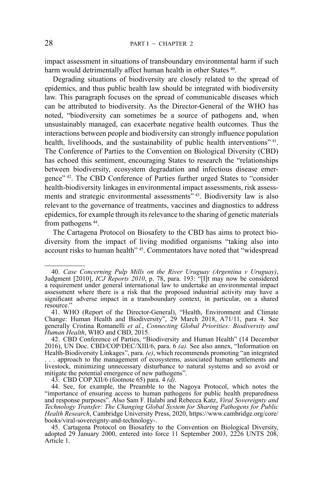impact assessment in situations of transboundary environmental harm if such harm would detrimentally affect human health in other States <sup>40</sup>.

Degrading situations of biodiversity are closely related to the spread of epidemics, and thus public health law should be integrated with biodiversity law. This paragraph focuses on the spread of communicable diseases which can be attributed to biodiversity. As the Director-General of the WHO has noted, "biodiversity can sometimes be a source of pathogens and, when unsustainably managed, can exacerbate negative health outcomes. Thus the interactions between people and biodiversity can strongly influence population health, livelihoods, and the sustainability of public health interventions"<sup>41</sup>. The Conference of Parties to the Convention on Biological Diversity (CBD) has echoed this sentiment, encouraging States to research the "relationships between biodiversity, ecosystem degradation and infectious disease emergence" 42. The CBD Conference of Parties further urged States to "consider health-biodiversity linkages in environmental impact assessments, risk assessments and strategic environmental assessments<sup>" 43</sup>. Biodiversity law is also relevant to the governance of treatments, vaccines and diagnostics to address epidemics, for example through its relevance to the sharing of genetic materials from pathogens 44.

The Cartagena Protocol on Biosafety to the CBD has aims to protect biodiversity from the impact of living modified organisms "taking also into account risks to human health" 45. Commentators have noted that "widespread

mitigate the potential emergence of new pathogens".<br>43. CBD COP XII/6 (footnote 65) para. 4 (d).

<sup>40.</sup> *Case Concerning Pulp Mills on the River Uruguay (Argentina v Uruguay)*, Judgment [2010], *ICJ Reports 2010*, p. 78, para. 193: "[I]t may now be considered a requirement under general international law to undertake an environmental impact assessment where there is a risk that the proposed industrial activity may have a significant adverse impact in a transboundary context, in particular, on a shared resource."

<sup>41.</sup> WHO (Report of the Director-General), "Health, Environment and Climate Change: Human Health and Biodiversity", 29 March 2018, A71/11, para 4. See generally Cristina Romanelli *et al.*, *Connecting Global Priorities: Biodiversity and Human Health*, WHO and CBD, 2015.

<sup>42.</sup> CBD Conference of Parties, "Biodiversity and Human Health" (14 December 2016), UN Doc. CBD/COP/DEC/XIII/6, para. 6 *(a)*. See also annex, "Information on Health-Biodiversity Linkages", para. *(e)*, which recommends promoting "an integrated . . . approach to the management of ecosystems, associated human settlements and livestock, minimizing unnecessary disturbance to natural systems and so avoid or

<sup>44.</sup> See, for example, the Preamble to the Nagoya Protocol, which notes the "importance of ensuring access to human pathogens for public health preparedness and response purposes". Also Sam F. Halabi and Rebecca Katz, *Viral Sovereignty and Technology Transfer: The Changing Global System for Sharing Pathogens for Public Health Research*, Cambridge University Press, 2020, https://www.cambridge.org/core/

books/viral-sovereignty-and-technology-. 45. Cartagena Protocol on Biosafety to the Convention on Biological Diversity, adopted 29 January 2000, entered into force 11 September 2003, 2226 UNTS 208, Article 1.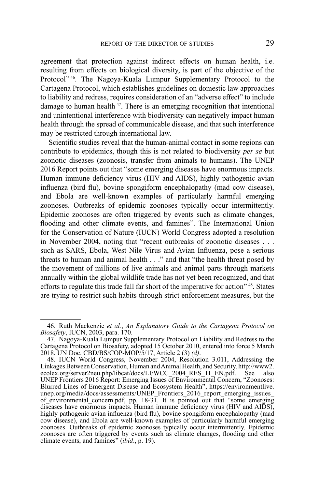agreement that protection against indirect effects on human health, i.e. resulting from effects on biological diversity, is part of the objective of the Protocol<sup>"46</sup>. The Nagoya-Kuala Lumpur Supplementary Protocol to the Cartagena Protocol, which establishes guidelines on domestic law approaches to liability and redress, requires consideration of an "adverse effect" to include damage to human health  $47$ . There is an emerging recognition that intentional and unintentional interference with biodiversity can negatively impact human health through the spread of communicable disease, and that such interference may be restricted through international law.

Scientific studies reveal that the human-animal contact in some regions can contribute to epidemics, though this is not related to biodiversity *per se* but zoonotic diseases (zoonosis, transfer from animals to humans). The UNEP 2016 Report points out that "some emerging diseases have enormous impacts. Human immune deficiency virus (HIV and AIDS), highly pathogenic avian influenza (bird flu), bovine spongiform encephalopathy (mad cow disease), and Ebola are well-known examples of particularly harmful emerging zoonoses. Outbreaks of epidemic zoonoses typically occur intermittently. Epidemic zoonoses are often triggered by events such as climate changes, flooding and other climate events, and famines". The International Union for the Conservation of Nature (IUCN) World Congress adopted a resolution in November 2004, noting that "recent outbreaks of zoonotic diseases . . . such as SARS, Ebola, West Nile Virus and Avian Influenza, pose a serious threats to human and animal health . . ." and that "the health threat posed by the movement of millions of live animals and animal parts through markets annually within the global wildlife trade has not yet been recognized, and that efforts to regulate this trade fall far short of the imperative for action"<sup>48</sup>. States are trying to restrict such habits through strict enforcement measures, but the

<sup>46.</sup> Ruth Mackenzie *et al.*, *An Explanatory Guide to the Cartagena Protocol on Biosafety*, IUCN, 2003, para. 170.

<sup>47.</sup> Nagoya-Kuala Lumpur Supplementary Protocol on Liability and Redress to the Cartagena Protocol on Biosafety, adopted 15 October 2010, entered into force 5 March 2018, UN Doc. CBD/BS/COP-MOP/5/17, Article 2 (3) *(d)*.

<sup>48.</sup> IUCN World Congress, November 2004, Resolution 3.011, Addressing the Linkages Between Conservation, Human and Animal Health, and Security, http://www2. ecolex.org/server2neu.php/libcat/docs/LI/WCC\_2004\_RES\_11\_EN.pdf. UNEP Frontiers 2016 Report: Emerging Issues of Environmental Concern, "Zoonoses: Blurred Lines of Emergent Disease and Ecosystem Health", https://environmentlive. unep.org/media/docs/assessments/UNEP\_Frontiers\_2016\_report\_emerging\_issues\_ of\_environmental\_concern.pdf, pp. 18-31. It is pointed out that "some emerging diseases have enormous impacts. Human immune deficiency virus (HIV and AIDS), highly pathogenic avian influenza (bird flu), bovine spongiform encephalopathy (mad cow disease), and Ebola are well-known examples of particularly harmful emerging zoonoses. Outbreaks of epidemic zoonoses typically occur intermittently. Epidemic zoonoses are often triggered by events such as climate changes, flooding and other climate events, and famines" (*ibid*., p. 19).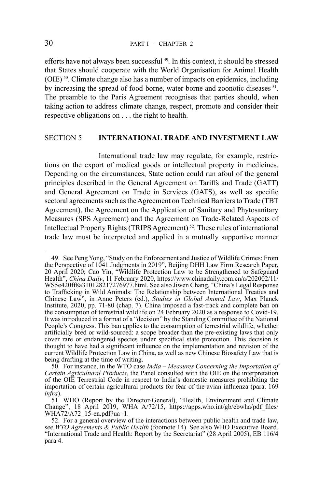efforts have not always been successful 49. In this context, it should be stressed that States should cooperate with the World Organisation for Animal Health (OIE) 50. Climate change also has a number of impacts on epidemics, including by increasing the spread of food-borne, water-borne and zoonotic diseases <sup>51</sup>. The preamble to the Paris Agreement recognises that parties should, when taking action to address climate change, respect, promote and consider their respective obligations on . . . the right to health.

# SECTION 5 **INTERNATIONAL TRADE AND INVESTMENT LAW**

International trade law may regulate, for example, restrictions on the export of medical goods or intellectual property in medicines. Depending on the circumstances, State action could run afoul of the general principles described in the General Agreement on Tariffs and Trade (GATT) and General Agreement on Trade in Services (GATS), as well as specific sectoral agreements such as the Agreement on Technical Barriers to Trade (TBT Agreement), the Agreement on the Application of Sanitary and Phytosanitary Measures (SPS Agreement) and the Agreement on Trade-Related Aspects of Intellectual Property Rights (TRIPS Agreement) 52. These rules of international trade law must be interpreted and applied in a mutually supportive manner

<sup>49.</sup> See Peng Yong, "Study on the Enforcement and Justice of Wildlife Crimes: From the Perspective of 1041 Judgments in 2019", Beijing DHH Law Firm Research Paper, 20 April 2020; Cao Yin, "Wildlife Protection Law to be Strengthened to Safeguard Health", *China Daily*, 11 February 2020, https://www.chinadaily.com.cn/a/202002/11/ WS5e420ff8a310128217276977.html. See also Jiwen Chang, "China's Legal Response to Trafficking in Wild Animals: The Relationship between International Treaties and Chinese Law", in Anne Peters (ed.), *Studies in Global Animal Law*, Max Planck Institute, 2020, pp. 71-80 (chap. 7). China imposed a fast-track and complete ban on the consumption of terrestrial wildlife on 24 February 2020 as a response to Covid-19. It was introduced in a format of a "decision" by the Standing Committee of the National People's Congress. This ban applies to the consumption of terrestrial wildlife, whether artificially bred or wild-sourced: a scope broader than the pre-existing laws that only cover rare or endangered species under specifical state protection. This decision is thought to have had a significant influence on the implementation and revision of the current Wildlife Protection Law in China, as well as new Chinese Biosafety Law that is being drafting at the time of writing.

<sup>50.</sup> For instance, in the WTO case *India – Measures Concerning the Importation of Certain Agricultural Products*, the Panel consulted with the OIE on the interpretation of the OIE Terrestrial Code in respect to India's domestic measures prohibiting the importation of certain agricultural products for fear of the avian influenza (para. 169 *infra*).

<sup>51.</sup> WHO (Report by the Director-General), "Health, Environment and Climate Change", 18 April 2019, WHA A/72/15, https://apps.who.int/gb/ebwha/pdf\_files/<br>WHA72/A72 15-en.pdf?ua=1.

<sup>52.</sup> For a general overview of the interactions between public health and trade law, see *WTO Agreements & Public Health* (footnote 14). See also WHO Executive Board, "International Trade and Health: Report by the Secretariat" (28 April 2005), EB 116/4 para 4.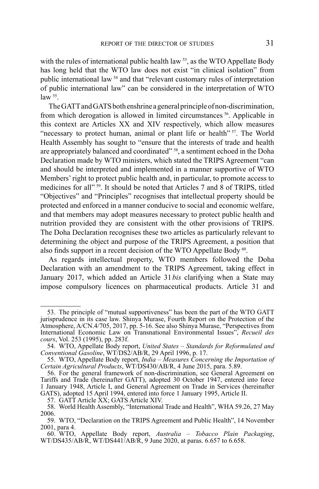with the rules of international public health law <sup>53</sup>, as the WTO Appellate Body has long held that the WTO law does not exist "in clinical isolation" from public international law 54 and that "relevant customary rules of interpretation of public international law" can be considered in the interpretation of WTO  $law<sup>55</sup>$ .

The GATT and GATS both enshrine a general principle of non-discrimination, from which derogation is allowed in limited circumstances 56. Applicable in this context are Articles XX and XIV respectively, which allow measures "necessary to protect human, animal or plant life or health" 57. The World Health Assembly has sought to "ensure that the interests of trade and health are appropriately balanced and coordinated" 58, a sentiment echoed in the Doha Declaration made by WTO ministers, which stated the TRIPS Agreement "can and should be interpreted and implemented in a manner supportive of WTO Members' right to protect public health and, in particular, to promote access to medicines for all" 59. It should be noted that Articles 7 and 8 of TRIPS, titled "Objectives" and "Principles" recognises that intellectual property should be protected and enforced in a manner conducive to social and economic welfare, and that members may adopt measures necessary to protect public health and nutrition provided they are consistent with the other provisions of TRIPS. The Doha Declaration recognises these two articles as particularly relevant to determining the object and purpose of the TRIPS Agreement, a position that also finds support in a recent decision of the WTO Appellate Body <sup>60</sup>.

As regards intellectual property, WTO members followed the Doha Declaration with an amendment to the TRIPS Agreement, taking effect in January 2017, which added an Article 31 *bis* clarifying when a State may impose compulsory licences on pharmaceutical products. Article 31 and

<sup>53.</sup> The principle of "mutual supportiveness" has been the part of the WTO GATT jurisprudence in its case law. Shinya Murase, Fourth Report on the Protection of the Atmosphere, A/CN.4/705, 2017, pp. 5-16. See also Shinya Murase, "Perspectives from International Economic Law on Transnational Environmental Issues", *Recueil des cours*, Vol. 253 (1995), pp. 283f.

<sup>54.</sup> WTO, Appellate Body report, *United States – Standards for Reformulated and Conventional Gasoline*, WT/DS2/AB/R, 29 April 1996, p. 17.

<sup>55.</sup> WTO, Appellate Body report, *India – Measures Concerning the Importation of Certain Agricultural Products*, WT/DS430/AB/R, 4 June 2015, para. 5.89.

<sup>56.</sup> For the general framework of non-discrimination, see General Agreement on Tariffs and Trade (hereinafter GATT), adopted 30 October 1947, entered into force 1 January 1948, Article I, and General Agreement on Trade in Services (hereinafter GATS), adopted 15 April 1994, entered into force 1 January 1995, Article II.

<sup>57.</sup> GATT Article XX; GATS Article XIV.

<sup>58.</sup> World Health Assembly, "International Trade and Health", WHA 59.26, 27 May 2006.

<sup>59.</sup> WTO, "Declaration on the TRIPS Agreement and Public Health", 14 November 2001, para 4.

<sup>60.</sup> WTO, Appellate Body report, *Australia – Tobacco Plain Packaging*, WT/DS435/AB/R, WT/DS441/AB/R, 9 June 2020, at paras. 6.657 to 6.658.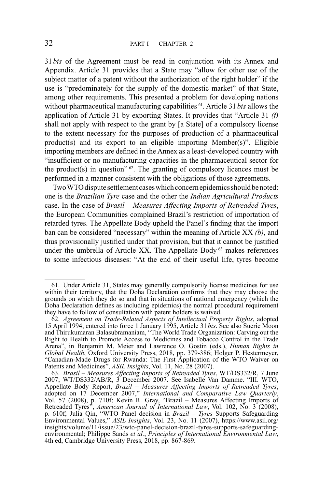31 *bis* of the Agreement must be read in conjunction with its Annex and Appendix. Article 31 provides that a State may "allow for other use of the subject matter of a patent without the authorization of the right holder" if the use is "predominately for the supply of the domestic market" of that State, among other requirements. This presented a problem for developing nations without pharmaceutical manufacturing capabilities 61. Article 31 *bis* allows the application of Article 31 by exporting States. It provides that "Article 31 *(f)* shall not apply with respect to the grant by [a State] of a compulsory license to the extent necessary for the purposes of production of a pharmaceutical product(s) and its export to an eligible importing Member(s)". Eligible importing members are defined in the Annex as a least-developed country with "insufficient or no manufacturing capacities in the pharmaceutical sector for the product(s) in question"  $62$ . The granting of compulsory licences must be performed in a manner consistent with the obligations of those agreements.

Two WTO dispute settlement cases which concern epidemics should be noted: one is the *Brazilian Tyre* case and the other the *Indian Agricultural Products* case. In the case of *Brasil – Measures Affecting Imports of Retreaded Tyres*, the European Communities complained Brazil's restriction of importation of retarded tyres. The Appellate Body upheld the Panel's finding that the import ban can be considered "necessary" within the meaning of Article XX *(b)*, and thus provisionally justified under that provision, but that it cannot be justified under the umbrella of Article XX. The Appellate Body  $63$  makes references to some infectious diseases: "At the end of their useful life, tyres become

<sup>61.</sup> Under Article 31, States may generally compulsorily license medicines for use within their territory, that the Doha Declaration confirms that they may choose the grounds on which they do so and that in situations of national emergency (which the Doha Declaration defines as including epidemics) the normal procedural requirement they have to follow of consultation with patent holders is waived.

<sup>62.</sup> *Agreement on Trade-Related Aspects of Intellectual Property Rights*, adopted 15 April 1994, entered into force 1 January 1995, Article 31*bis*. See also Suerie Moon and Thirukumaran Balasubramaniam, "The World Trade Organization: Carving out the Right to Health to Promote Access to Medicines and Tobacco Control in the Trade Arena", in Benjamin M. Meier and Lawrence O. Gostin (eds.), *Human Rights in Global Health*, Oxford University Press, 2018, pp. 379-386; Holger P. Hestermeyer, "Canadian-Made Drugs for Rwanda: The First Application of the WTO Waiver on Patents and Medicines", ASIL Insights, Vol. 11, No. 28 (2007).

<sup>63.</sup> *Brasil – Measures Affecting Imports of Retreaded Tyres*, WT/DS332/R, 7 June 2007; WT/DS332/AB/R, 3 December 2007. See Isabelle Van Damme. "III. WTO, Appellate Body Report, *Brazil – Measures Affecting Imports of Retreaded Tyres*, adopted on 17 December 2007," *International and Comparative Law Quarterly*, Vol. 57 (2008), p. 710f; Kevin R. Gray, "Brazil – Measures Affec Retreaded Tyres", *American Journal of International Law*, Vol. 102, No. 3 (2008), p. 610f; Julia Qin, "WTO Panel decision in *Brazil – Tyres* Supports Safeguarding Environmental Values," *ASIL Insights*, Vol. 23, No. 11 (2007), https://www.asil.org/ insights/volume/11/issue/23/wto-panel-decision-brazil-tyres-supports-safeguardingenvironmental; Philippe Sands *et al.*, *Principles of International Environmental Law*, 4th ed, Cambridge University Press, 2018, pp. 867-869.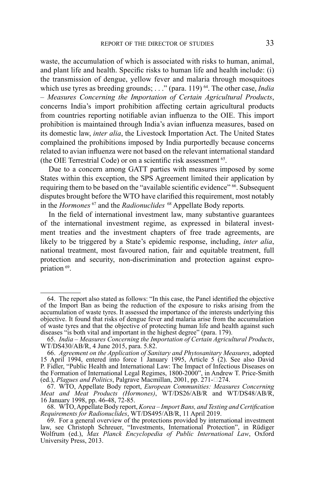waste, the accumulation of which is associated with risks to human, animal, and plant life and health. Specific risks to human life and health include: (i) the transmission of dengue, yellow fever and malaria through mosquitoes which use tyres as breeding grounds; . . ." (para. 119) <sup>64</sup>. The other case, *India – Measures Concerning the Importation of Certain Agricultural Products*, concerns India's import prohibition affecting certain agricultural products from countries reporting notifiable avian influenza to the OIE. This import prohibition is maintained through India's avian influenza measures, based on its domestic law, *inter alia*, the Livestock Importation Act. The United States complained the prohibitions imposed by India purportedly because concerns related to avian influenza were not based on the relevant international standard (the OIE Terrestrial Code) or on a scientific risk assessment  $65$ .

Due to a concern among GATT parties with measures imposed by some States within this exception, the SPS Agreement limited their application by requiring them to be based on the "available scientific evidence" <sup>66</sup>. Subsequent disputes brought before the WTO have clarified this requirement, most notably in the *Hormones* 67 and the *Radionuclides* 68 Appellate Body reports*.*

In the field of international investment law, many substantive guarantees of the international investment regime, as expressed in bilateral investment treaties and the investment chapters of free trade agreements, are likely to be triggered by a State's epidemic response, including, *inter alia*, national treatment, most favoured nation, fair and equitable treatment, full protection and security, non-discrimination and protection against expropriation 69.

<sup>64.</sup> The report also stated as follows: "In this case, the Panel identified the objective of the Import Ban as being the reduction of the exposure to risks arising from the accumulation of waste tyres. It assessed the importance of the interests underlying this objective. It found that risks of dengue fever and malaria arise from the accumulation of waste tyres and that the objective of protecting human life and health against such diseases "is both vital and important in the highest degree" (para. 179).

<sup>65.</sup> *India – Measures Concerning the Importation of Certain Agricultural Products*, WT/DS430/AB/R, 4 June 2015, para. 5.82.

<sup>66.</sup> *Agreement on the Application of Sanitary and Phytosanitary Measures*, adopted 15 April 1994, entered into force 1 January 1995, Article 5 (2). See also David P. Fidler, "Public Health and International Law: The Impact of Infectious Diseases on the Formation of International Legal Regimes, 1800-2000", in Andrew T. Price-Smith (ed.), *Plagues and Politics*, Palgrave Macmillan, 2001, pp. 271-274.

<sup>67.</sup> WTO, Appellate Body report, *European Communities: Measures Concerning Meat and Meat Products (Hormones)*, WT/DS26/AB/R and WT/DS48/AB/R, 16 January 1998, pp. 46-48, 72-85.

<sup>68.</sup> WTO, Appellate Body report, *Korea – Import Bans, and Testing and Certification Requirements for Radionuclides*, WT/DS495/AB/R, 11 April 2019.

<sup>69.</sup> For a general overview of the protections provided by international investment law, see Christoph Schreuer, "Investments, International Protection", in Rüdiger Wolfrum (ed.), *Max Planck Encyclopedia of Public International Law*, Oxford University Press, 2013.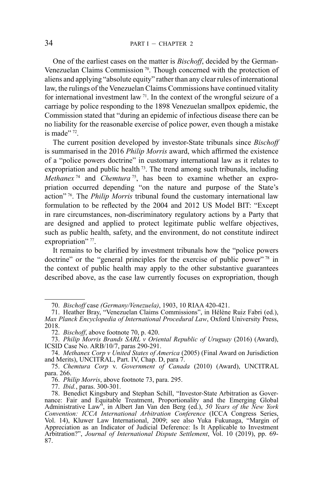One of the earliest cases on the matter is *Bischoff*, decided by the German-Venezuelan Claims Commission<sup>70</sup>. Though concerned with the protection of aliens and applying "absolute equity" rather than any clear rules of international law, the rulings of the Venezuelan Claims Commissions have continued vitality for international investment law  $71$ . In the context of the wrongful seizure of a carriage by police responding to the 1898 Venezuelan smallpox epidemic, the Commission stated that "during an epidemic of infectious disease there can be no liability for the reasonable exercise of police power, even though a mistake is made" <sup>72</sup>.

The current position developed by investor-State tribunals since *Bischoff*  is summarised in the 2016 *Philip Morris* award, which affirmed the existence of a "police powers doctrine" in customary international law as it relates to expropriation and public health  $73$ . The trend among such tribunals, including *Methanex* 74 and *Chemtura* 75, has been to examine whether an expropriation occurred depending "on the nature and purpose of the State's action" 76. The *Philip Morris* tribunal found the customary international law formulation to be reflected by the 2004 and 2012 US Model BIT: "Except in rare circumstances, non-discriminatory regulatory actions by a Party that are designed and applied to protect legitimate public welfare objectives, such as public health, safety, and the environment, do not constitute indirect expropriation" 77.

It remains to be clarified by investment tribunals how the "police powers doctrine" or the "general principles for the exercise of public power"  $\frac{78}{10}$  in the context of public health may apply to the other substantive guarantees described above, as the case law currently focuses on expropriation, though

77. *Ibid.*, paras. 300-301.

<sup>70.</sup> *Bischoff* case *(Germany/Venezuela)*, 1903, 10 RIAA 420-421.

<sup>71.</sup> Heather Bray, "Venezuelan Claims Commissions", in Hélène Ruiz Fabri (ed.), *Max Planck Encyclopedia of International Procedural Law*, Oxford University Press, 2018.

<sup>72.</sup> *Bischoff*, above footnote 70, p. 420.

<sup>73.</sup> *Philip Morris Brands SARL v Oriental Republic of Uruguay* (2016) (Award), ICSID Case No. ARB/10/7, paras 290-291.

<sup>74.</sup> *Methanex Corp v United States of America* (2005) (Final Award on Jurisdiction and Merits), UNCITRAL, Part. IV, Chap. D, para 7.

<sup>75.</sup> *Chemtura Corp* v. *Government of Canada* (2010) (Award), UNCITRAL para. 266.

<sup>76.</sup> *Philip Morris*, above footnote 73, para. 295.

<sup>78.</sup> Benedict Kingsbury and Stephan Schill, "Investor-State Arbitration as Governance: Fair and Equitable Treatment, Proportionality and the Emerging Global Administrative Law", in Albert Jan Van den Berg (ed.), *50 Years of the New York Convention: ICCA International Arbitration Conference* (ICCA Congress Series, Vol. 14), Kluwer Law International, 2009; see also Yuka Fukunaga, "Margin of Appreciation as an Indicator of Judicial Deference: Is It Applicable to Investment Arbitration?", *Journal of International Dispute Settlement*, Vol. 10 (2019), pp. 69- 87.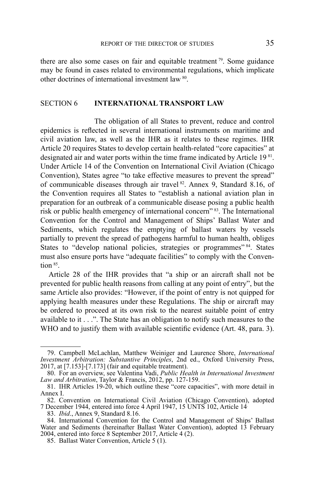there are also some cases on fair and equitable treatment  $\frac{79}{2}$ . Some guidance may be found in cases related to environmental regulations, which implicate other doctrines of international investment law 80.

#### SECTION 6 **INTERNATIONAL TRANSPORT LAW**

The obligation of all States to prevent, reduce and control epidemics is reflected in several international instruments on maritime and civil aviation law, as well as the IHR as it relates to these regimes. IHR Article 20 requires States to develop certain health-related "core capacities" at designated air and water ports within the time frame indicated by Article 19<sup>81</sup>. Under Article 14 of the Convention on International Civil Aviation (Chicago Convention), States agree "to take effective measures to prevent the spread" of communicable diseases through air travel <sup>82</sup>. Annex 9, Standard 8.16, of the Convention requires all States to "establish a national aviation plan in preparation for an outbreak of a communicable disease posing a public health risk or public health emergency of international concern" 83. The International Convention for the Control and Management of Ships' Ballast Water and Sediments, which regulates the emptying of ballast waters by vessels partially to prevent the spread of pathogens harmful to human health, obliges States to "develop national policies, strategies or programmes" 84. States must also ensure ports have "adequate facilities" to comply with the Convention 85.

Article 28 of the IHR provides that "a ship or an aircraft shall not be prevented for public health reasons from calling at any point of entry", but the same Article also provides: "However, if the point of entry is not quipped for applying health measures under these Regulations. The ship or aircraft may be ordered to proceed at its own risk to the nearest suitable point of entry available to it . . .". The State has an obligation to notify such measures to the WHO and to justify them with available scientific evidence (Art. 48, para. 3).

<sup>79.</sup> Campbell McLachlan, Matthew Weiniger and Laurence Shore, *International Investment Arbitration: Substantive Principles*, 2nd ed., Oxford University Press, 2017, at [7.153]-[7.173] (fair and equitable treatment).

<sup>80.</sup> For an overview, see Valentina Vadi, *Public Health in International Investment Law and Arbitration*, Taylor & Francis, 2012, pp. 127-159.

<sup>81.</sup> IHR Articles 19-20, which outline these "core capacities", with more detail in Annex I.

<sup>82.</sup> Convention on International Civil Aviation (Chicago Convention), adopted 7 December 1944, entered into force 4 April 1947, 15 UNTS 102, Article 14.

<sup>83.</sup> *Ibid*., Annex 9, Standard 8.16.

<sup>84.</sup> International Convention for the Control and Management of Ships' Ballast Water and Sediments (hereinafter Ballast Water Convention), adopted 13 February 2004, entered into force 8 September 2017, Article 4 (2).

<sup>85.</sup> Ballast Water Convention, Article 5 (1).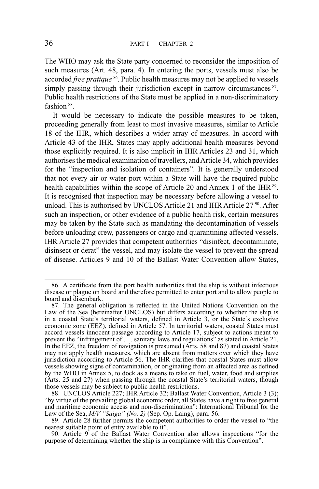The WHO may ask the State party concerned to reconsider the imposition of such measures (Art. 48, para. 4). In entering the ports, vessels must also be accorded *free pratique* 86. Public health measures may not be applied to vessels simply passing through their jurisdiction except in narrow circumstances  $^{87}$ . Public health restrictions of the State must be applied in a non-discriminatory fashion 88.

It would be necessary to indicate the possible measures to be taken, proceeding generally from least to most invasive measures, similar to Article 18 of the IHR, which describes a wider array of measures. In accord with Article 43 of the IHR, States may apply additional health measures beyond those explicitly required. It is also implicit in IHR Articles 23 and 31, which authorises the medical examination of travellers, and Article 34, which provides for the "inspection and isolation of containers". It is generally understood that not every air or water port within a State will have the required public health capabilities within the scope of Article 20 and Annex 1 of the IHR  $^{89}$ . It is recognised that inspection may be necessary before allowing a vessel to unload. This is authorised by UNCLOS Article 21 and IHR Article 27<sup>90</sup>. After such an inspection, or other evidence of a public health risk, certain measures may be taken by the State such as mandating the decontamination of vessels before unloading crew, passengers or cargo and quarantining affected vessels. IHR Article 27 provides that competent authorities "disinfect, decontaminate, disinsect or derat" the vessel, and may isolate the vessel to prevent the spread of disease. Articles 9 and 10 of the Ballast Water Convention allow States,

<sup>86.</sup> A certificate from the port health authorities that the ship is without infectious disease or plague on board and therefore permitted to enter port and to allow people to board and disembark.

<sup>87.</sup> The general obligation is reflected in the United Nations Convention on the Law of the Sea (hereinafter UNCLOS) but differs according to whether the ship is in a coastal State's territorial waters, defined in Article 3, or the State's exclusive economic zone (EEZ), defined in Article 57. In territorial waters, coastal States must accord vessels innocent passage according to Article 17, subject to actions meant to prevent the "infringement of . . . sanitary laws and regulations" as stated in Article 21. In the EEZ, the freedom of navigation is presumed (Arts. 58 and 87) and coastal States may not apply health measures, which are absent from matters over which they have jurisdiction according to Article 56. The IHR clarifies that coastal States must allow vessels showing signs of contamination, or originating from an affected area as defined by the WHO in Annex 5, to dock as a means to take on fuel, water, food and supplies (Arts. 25 and 27) when passing through the coastal State's territorial waters, though those vessels may be subject to public health restrictions.

<sup>88.</sup> UNCLOS Article 227; IHR Article 32; Ballast Water Convention, Article 3 (3); "by virtue of the prevailing global economic order, all States have a right to free general and maritime economic access and non-discrimination": International Tribunal for the Law of the Sea, *M/V "Saiga" (No. 2)* (Sep. Op. Laing), para. 56.

<sup>89.</sup> Article 28 further permits the competent authorities to order the vessel to "the nearest suitable point of entry available to it".

<sup>90.</sup> Article 9 of the Ballast Water Convention also allows inspections "for the purpose of determining whether the ship is in compliance with this Convention".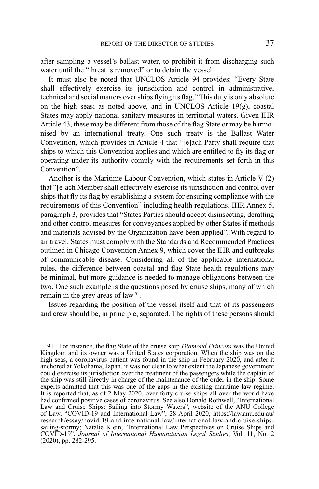after sampling a vessel's ballast water, to prohibit it from discharging such water until the "threat is removed" or to detain the vessel.

It must also be noted that UNCLOS Article 94 provides: "Every State shall effectively exercise its jurisdiction and control in administrative, technical and social matters over ships flying its flag." This duty is only absolute on the high seas; as noted above, and in UNCLOS Article 19(g), coastal States may apply national sanitary measures in territorial waters. Given IHR Article 43, these may be different from those of the flag State or may be harmonised by an international treaty. One such treaty is the Ballast Water Convention, which provides in Article 4 that "[e]ach Party shall require that ships to which this Convention applies and which are entitled to fly its flag or operating under its authority comply with the requirements set forth in this Convention".

Another is the Maritime Labour Convention, which states in Article V (2) that "[e]ach Member shall effectively exercise its jurisdiction and control over ships that fly its flag by establishing a system for ensuring compliance with the requirements of this Convention" including health regulations. IHR Annex 5, paragraph 3, provides that "States Parties should accept disinsecting, deratting and other control measures for conveyances applied by other States if methods and materials advised by the Organization have been applied". With regard to air travel, States must comply with the Standards and Recommended Practices outlined in Chicago Convention Annex 9, which cover the IHR and outbreaks of communicable disease. Considering all of the applicable international rules, the difference between coastal and flag State health regulations may be minimal, but more guidance is needed to manage obligations between the two. One such example is the questions posed by cruise ships, many of which remain in the grey areas of law 91.

Issues regarding the position of the vessel itself and that of its passengers and crew should be, in principle, separated. The rights of these persons should

<sup>91.</sup> For instance, the flag State of the cruise ship *Diamond Princess* was the United Kingdom and its owner was a United States corporation. When the ship was on the high seas, a coronavirus patient was found in the ship in February 2020, and after it anchored at Yokohama, Japan, it was not clear to what extent the Japanese government could exercise its jurisdiction over the treatment of the passengers while the captain of the ship was still directly in charge of the maintenance of the order in the ship. Some experts admitted that this was one of the gaps in the existing maritime law regime. It is reported that, as of 2 May 2020, over forty cruise ships all over the world have had confirmed positive cases of coronavirus. See also Donald Rothwell, "International Law and Cruise Ships: Sailing into Stormy Waters", website of the ANU College of Law, "COVID-19 and International Law", 28 April 2020, https://law.anu.edu.au/ research/essay/covid-19-and-international-law/international-law-and-cruise-shipssailing-stormy; Natalie Klein, "International Law Perspectives on Cruise Ships and COVID-19", *Journal of International Humanitarian Legal Studies*, Vol. 11, No. 2 (2020), pp. 282-295.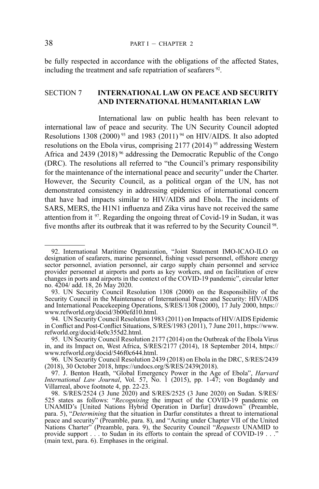be fully respected in accordance with the obligations of the affected States, including the treatment and safe repatriation of seafarers  $92$ .

## SECTION 7 **INTERNATIONAL LAW ON PEACE AND SECURITY AND INTERNATIONAL HUMANITARIAN LAW**

International law on public health has been relevant to international law of peace and security. The UN Security Council adopted Resolutions 1308 (2000)<sup>93</sup> and 1983 (2011)<sup>94</sup> on HIV/AIDS. It also adopted resolutions on the Ebola virus, comprising 2177 (2014)<sup>95</sup> addressing Western Africa and 2439 (2018)<sup>96</sup> addressing the Democratic Republic of the Congo (DRC). The resolutions all referred to "the Council's primary responsibility for the maintenance of the international peace and security" under the Charter. However, the Security Council, as a political organ of the UN, has not demonstrated consistency in addressing epidemics of international concern that have had impacts similar to HIV/AIDS and Ebola. The incidents of SARS, MERS, the H1N1 influenza and Zika virus have not received the same attention from it 97. Regarding the ongoing threat of Covid-19 in Sudan, it was five months after its outbreak that it was referred to by the Security Council 98.

<sup>92.</sup> International Maritime Organization, "Joint Statement IMO-ICAO-ILO on designation of seafarers, marine personnel, fishing vessel personnel, offshore energy sector personnel, aviation personnel, air cargo supply chain personnel and service provider personnel at airports and ports as key workers, and on facilitation of crew changes in ports and airports in the context of the COVID-19 pandemic", circular letter no. 4204/ add. 18, 26 May 2020.

<sup>93.</sup> UN Security Council Resolution 1308 (2000) on the Responsibility of the Security Council in the Maintenance of International Peace and Security: HIV/AIDS and International Peacekeeping Operations, S/RES/1308 (2000), 17 July 2000, https:// www.refworld.org/docid/3b00efd10.html.

<sup>94.</sup> UN Security Council Resolution 1983 (2011) on Impacts of HIV/AIDS Epidemic in Conflict and Post-Conflict Situations, S/RES/1983 (2011), 7 June 2011, https://www. refworld.org/docid/4e0c355d2.html.

<sup>95.</sup> UN Security Council Resolution 2177 (2014) on the Outbreak of the Ebola Virus in, and its Impact on, West Africa, S/RES/2177 (2014), 18 September 2014, https:// www.refworld.org/docid/546f0c644.html.

<sup>96.</sup> UN Security Council Resolution 2439 (2018) on Ebola in the DRC, S/RES/2439 (2018), 30 October 2018, https://undocs.org/S/RES/2439(2018).

<sup>97.</sup> J. Benton Heath, "Global Emergency Power in the Age of Ebola", *Harvard International Law Journal*, Vol. 57, No. 1 (2015), pp. 1-47; von Bogdandy and Villarreal, above footnote 4, pp. 22-23.

<sup>98.</sup> S/RES/2524 (3 June 2020) and S/RES/2525 (3 June 2020) on Sudan. S/RES/ 525 states as follows: "*Recognising* the impact of the COVID-19 pandemic on UNAMID's [United Nations Hybrid Operation in Darfur] drawdown" (Preamble, para. 5), "*Determining* that the situation in Darfur constitutes a threat to international peace and security" (Preamble, para. 8), and "Acting under Chapter VII of the United Nations Charter" (Preamble, para. 9), the Security Council "*Requests* UNAMID to provide support . . . to Sudan in its efforts to contain the spread of COVID-19 . . ." (main text, para. 6). Emphases in the original.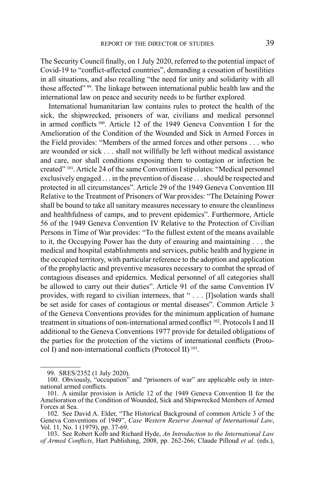The Security Council finally, on 1 July 2020, referred to the potential impact of Covid-19 to "conflict-affected countries", demanding a cessation of hostilities in all situations, and also recalling "the need for unity and solidarity with all those affected" 99. The linkage between international public health law and the international law on peace and security needs to be further explored.

International humanitarian law contains rules to protect the health of the sick, the shipwrecked, prisoners of war, civilians and medical personnel in armed conflicts 100. Article 12 of the 1949 Geneva Convention I for the Amelioration of the Condition of the Wounded and Sick in Armed Forces in the Field provides: "Members of the armed forces and other persons . . . who are wounded or sick . . . shall not willfully be left without medical assistance and care, nor shall conditions exposing them to contagion or infection be created" 101. Article 24 of the same Convention I stipulates: "Medical personnel exclusively engaged . . . in the prevention of disease . . . should be respected and protected in all circumstances". Article 29 of the 1949 Geneva Convention III Relative to the Treatment of Prisoners of War provides: "The Detaining Power shall be bound to take all sanitary measures necessary to ensure the cleanliness and healthfulness of camps, and to prevent epidemics". Furthermore, Article 56 of the 1949 Geneva Convention IV Relative to the Protection of Civilian Persons in Time of War provides: "To the fullest extent of the means available to it, the Occupying Power has the duty of ensuring and maintaining . . . the medical and hospital establishments and services, public health and hygiene in the occupied territory, with particular reference to the adoption and application of the prophylactic and preventive measures necessary to combat the spread of contagious diseases and epidemics. Medical personnel of all categories shall be allowed to carry out their duties". Article 91 of the same Convention IV provides, with regard to civilian internees, that " . . . [I]solation wards shall be set aside for cases of contagious or mental diseases". Common Article 3 of the Geneva Conventions provides for the minimum application of humane treatment in situations of non-international armed conflict 102. Protocols I and II additional to the Geneva Conventions 1977 provide for detailed obligations of the parties for the protection of the victims of international conflicts (Protocol I) and non-international conflicts (Protocol II) 103.

<sup>99.</sup> SRES/2352 (1 July 2020).

<sup>100.</sup> Obviously, "occupation" and "prisoners of war" are applicable only in international armed conflicts.

<sup>101.</sup> A similar provision is Article 12 of the 1949 Geneva Convention II for the Amelioration of the Condition of Wounded, Sick and Shipwrecked Members of Armed Forces at Sea.

<sup>102.</sup> See David A. Elder, "The Historical Background of common Article 3 of the Geneva Conventions of 1949", *Case Western Reserve Journal of International Law*, Vol. 11, No. 1 (1979), pp. 37-69.

<sup>103.</sup> See Robert Kolb and Richard Hyde, *An Introduction to the International Law of Armed Conflicts*, Hart Publishing, 2008, pp. 262-266; Claude Pilloud *et al.* (eds.),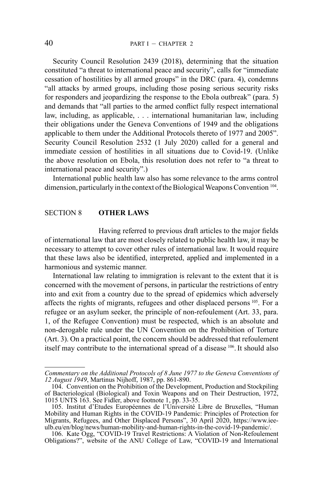Security Council Resolution 2439 (2018), determining that the situation constituted "a threat to international peace and security", calls for "immediate cessation of hostilities by all armed groups" in the DRC (para. 4), condemns "all attacks by armed groups, including those posing serious security risks for responders and jeopardizing the response to the Ebola outbreak" (para. 5) and demands that "all parties to the armed conflict fully respect international law, including, as applicable, . . . international humanitarian law, including their obligations under the Geneva Conventions of 1949 and the obligations applicable to them under the Additional Protocols thereto of 1977 and 2005". Security Council Resolution 2532 (1 July 2020) called for a general and immediate cession of hostilities in all situations due to Covid-19. (Unlike the above resolution on Ebola, this resolution does not refer to "a threat to international peace and security".)

International public health law also has some relevance to the arms control dimension, particularly in the context of the Biological Weapons Convention 104.

# SECTION 8 **OTHER LAWS**

Having referred to previous draft articles to the major fields of international law that are most closely related to public health law, it may be necessary to attempt to cover other rules of international law. It would require that these laws also be identified, interpreted, applied and implemented in a harmonious and systemic manner.

International law relating to immigration is relevant to the extent that it is concerned with the movement of persons, in particular the restrictions of entry into and exit from a country due to the spread of epidemics which adversely affects the rights of migrants, refugees and other displaced persons 105. For a refugee or an asylum seeker, the principle of non-refoulement (Art. 33, para. 1, of the Refugee Convention) must be respected, which is an absolute and non-derogable rule under the UN Convention on the Prohibition of Torture (Art. 3). On a practical point, the concern should be addressed that refoulement itself may contribute to the international spread of a disease 106. It should also

*Commentary on the Additional Protocols of 8 June 1977 to the Geneva Conventions of 12 August 1949*, Martinus Nijhoff, 1987, pp. 861-890.

<sup>104.</sup> Convention on the Prohibition of the Development, Production and Stockpiling of Bacteriological (Biological) and Toxin Weapons and on Their Destruction, 1972, 1015 UNTS 163. See Fidler, above footnote 1, pp. 33-35.

<sup>105.</sup> Institut d'Etudes Européennes de l'Université Libre de Bruxelles, "Human Mobility and Human Rights in the COVID-19 Pandemic: Principles of Protection for Migrants, Refugees, and Other Displaced Persons", 30 April 2020, https://www.iee-<br>ulb.eu/en/blog/news/human-mobility-and-human-rights-in-the-covid-19-pandemic/. ulb.eu/en/blog/news/human-mobility-and-human-rights-in-the-covid-19-pandemic/. 106. Kate Ogg, "COVID-19 Travel Restrictions: A Violation of Non-Refoulement

Obligations?", website of the ANU College of Law, "COVID-19 and International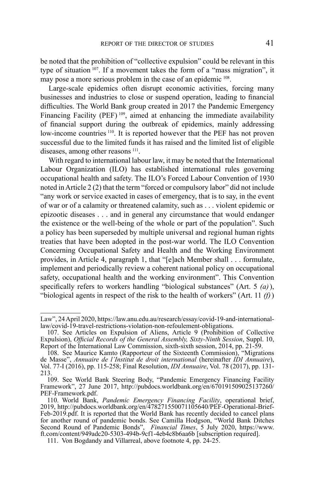be noted that the prohibition of "collective expulsion" could be relevant in this type of situation 107. If a movement takes the form of a "mass migration", it may pose a more serious problem in the case of an epidemic  $108$ .

Large-scale epidemics often disrupt economic activities, forcing many businesses and industries to close or suspend operation, leading to financial difficulties. The World Bank group created in 2017 the Pandemic Emergency Financing Facility (PEF)<sup>109</sup>, aimed at enhancing the immediate availability of financial support during the outbreak of epidemics, mainly addressing low-income countries <sup>110</sup>. It is reported however that the PEF has not proven successful due to the limited funds it has raised and the limited list of eligible diseases, among other reasons<sup>111</sup>.

With regard to international labour law, it may be noted that the International Labour Organization (ILO) has established international rules governing occupational health and safety. The ILO's Forced Labour Convention of 1930 noted in Article 2 (2) that the term "forced or compulsory labor" did not include "any work or service exacted in cases of emergency, that is to say, in the event of war or of a calamity or threatened calamity, such as . . . violent epidemic or epizootic diseases . . . and in general any circumstance that would endanger the existence or the well-being of the whole or part of the population". Such a policy has been superseded by multiple universal and regional human rights treaties that have been adopted in the post-war world. The ILO Convention Concerning Occupational Safety and Health and the Working Environment provides, in Article 4, paragraph 1, that "[e]ach Member shall . . . formulate, implement and periodically review a coherent national policy on occupational safety, occupational health and the working environment". This Convention specifically refers to workers handling "biological substances" (Art. 5 *(a)*), "biological agents in respect of the risk to the health of workers" (Art. 11 *(f)*)

Law", 24 April 2020, https://law.anu.edu.au/research/essay/covid-19-and-internationallaw/covid-19-travel-restrictions-violation-non-refoulement-obligations.

<sup>107.</sup> See Articles on Expulsion of Aliens, Article 9 (Prohibition of Collective Expulsion), *Official Records of the General Assembly, Sixty-Ninth Session*, Suppl. 10, Report of the International Law Commission, sixth-sixth session, 2014, pp. 21-59.

<sup>108.</sup> See Maurice Kamto (Rapporteur of the Sixteenth Commission), "Migrations de Masse", *Annuaire de l'Institut de droit international* (hereinafter *IDI Annuaire*), Vol. 77-I (2016), pp. 115-258; Final Resolution, *IDI Annuaire*, Vol. 78 (2017), pp. 131- 213.

<sup>109.</sup> See World Bank Steering Body, "Pandemic Emergency Financing Facility Framework", 27 June 2017, http://pubdocs.worldbank.org/en/670191509025137260/<br>PEF-Framework.pdf. PEF-Framework.pdf. 110. World Bank, *Pandemic Emergency Financing Facility*, operational brief,

<sup>2019,</sup> http://pubdocs.worldbank.org/en/478271550071105640/PEF-Operational-Brief-Feb-2019.pdf. It is reported that the World Bank has recently decided to cancel plans for another round of pandemic bonds. See Camilla Hodgson, "World Bank Ditches Second Round of Pandemic Bonds", *Financial Times*, 5 July 2020, https://www. ft.com/content/949adc20-5303-494b-9cf1-4eb4c8b6aa6b [subscription required].

<sup>111.</sup> Von Bogdandy and Villarreal, above footnote 4, pp. 24-25.